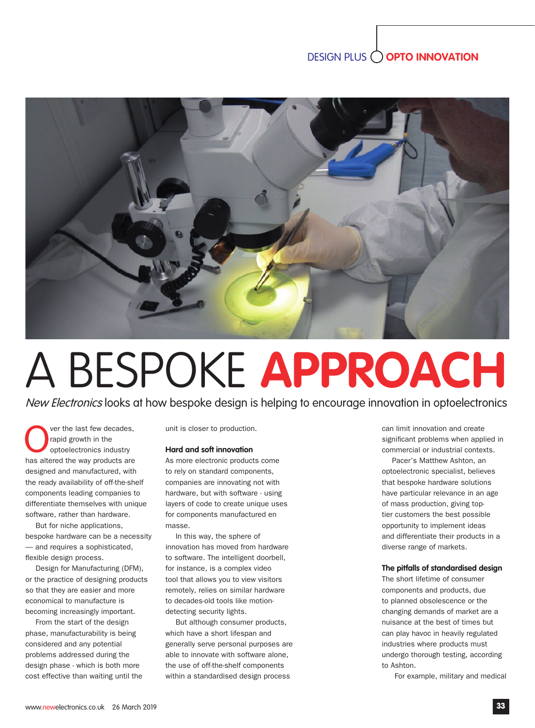# DESIGN PLUS **OPTO INNOVATION**



# A BESPOKE **APPROACH**

New Electronics looks at how bespoke design is helping to encourage innovation in optoelectronics

**OREC** ver the last few decades,<br>
rapid growth in the<br>
optoelectronics industry<br>
has altered the way products are ver the last few decades, rapid growth in the optoelectronics industry designed and manufactured, with the ready availability of off-the-shelf components leading companies to differentiate themselves with unique software, rather than hardware.

But for niche applications, bespoke hardware can be a necessity — and requires a sophisticated, flexible design process.

Design for Manufacturing (DFM), or the practice of designing products so that they are easier and more economical to manufacture is becoming increasingly important.

From the start of the design phase, manufacturability is being considered and any potential problems addressed during the design phase - which is both more cost effective than waiting until the unit is closer to production.

#### **Hard and soft innovation**

As more electronic products come to rely on standard components, companies are innovating not with hardware, but with software - using layers of code to create unique uses for components manufactured en masse.

In this way, the sphere of innovation has moved from hardware to software. The intelligent doorbell, for instance, is a complex video tool that allows you to view visitors remotely, relies on similar hardware to decades-old tools like motiondetecting security lights.

But although consumer products, which have a short lifespan and generally serve personal purposes are able to innovate with software alone, the use of off-the-shelf components within a standardised design process

can limit innovation and create significant problems when applied in commercial or industrial contexts.

Pacer's Matthew Ashton, an optoelectronic specialist, believes that bespoke hardware solutions have particular relevance in an age of mass production, giving toptier customers the best possible opportunity to implement ideas and differentiate their products in a diverse range of markets.

## **The pitfalls of standardised design**

The short lifetime of consumer components and products, due to planned obsolescence or the changing demands of market are a nuisance at the best of times but can play havoc in heavily regulated industries where products must undergo thorough testing, according to Ashton.

For example, military and medical